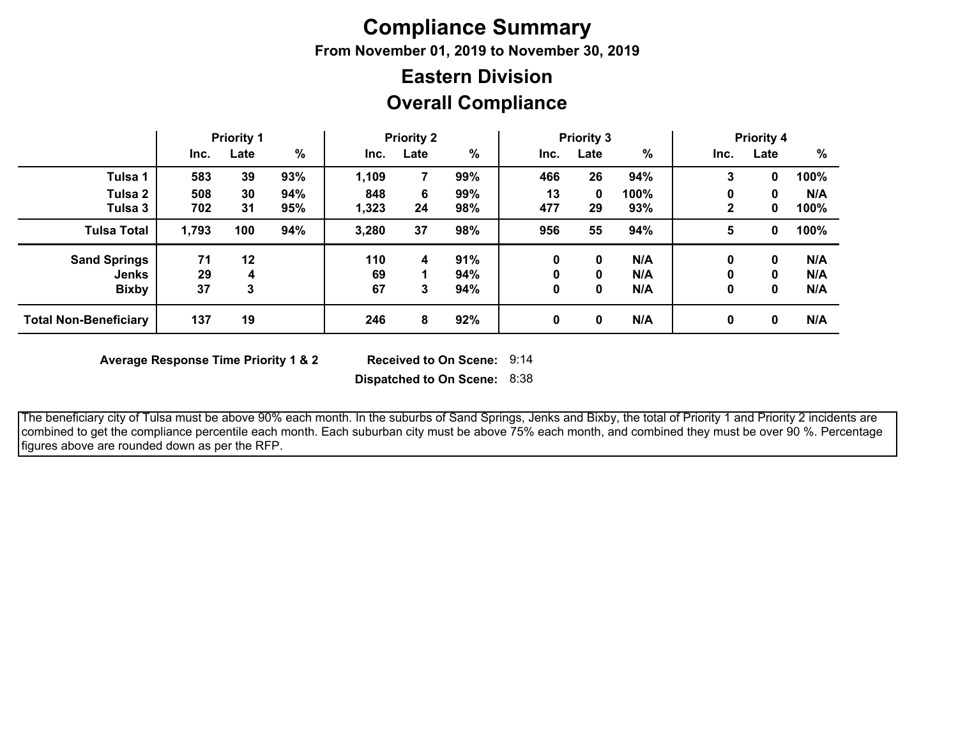## **Compliance Summary**

**From November 01, 2019 to November 30, 2019**

## **Overall Compliance Eastern Division**

|                              | <b>Priority 1</b> |      |               | <b>Priority 2</b> |      |     | <b>Priority 3</b> |      |      | <b>Priority 4</b> |      |      |
|------------------------------|-------------------|------|---------------|-------------------|------|-----|-------------------|------|------|-------------------|------|------|
|                              | Inc.              | Late | $\frac{0}{0}$ | Inc.              | Late | %   | Inc.              | Late | %    | Inc.              | Late | %    |
| Tulsa 1                      | 583               | 39   | 93%           | 1,109             |      | 99% | 466               | 26   | 94%  | 3                 | 0    | 100% |
| Tulsa 2                      | 508               | 30   | 94%           | 848               | 6    | 99% | 13                | 0    | 100% | 0                 | 0    | N/A  |
| Tulsa 3                      | 702               | 31   | 95%           | 1,323             | 24   | 98% | 477               | 29   | 93%  |                   | 0    | 100% |
| <b>Tulsa Total</b>           | 1,793             | 100  | 94%           | 3,280             | 37   | 98% | 956               | 55   | 94%  | 5                 | 0    | 100% |
| <b>Sand Springs</b>          | 71                | 12   |               | 110               | 4    | 91% | 0                 | 0    | N/A  | 0                 | 0    | N/A  |
| <b>Jenks</b>                 | 29                | 4    |               | 69                |      | 94% | 0                 | 0    | N/A  | 0                 | 0    | N/A  |
| <b>Bixby</b>                 | 37                | 3    |               | 67                | 3    | 94% | 0                 | 0    | N/A  | 0                 | 0    | N/A  |
| <b>Total Non-Beneficiary</b> | 137               | 19   |               | 246               | 8    | 92% | 0                 | 0    | N/A  | 0                 | 0    | N/A  |

**Average Response Time Priority 1 & 2** 

Received to On Scene: 9:14

**Dispatched to On Scene:** 8:38

 The beneficiary city of Tulsa must be above 90% each month. In the suburbs of Sand Springs, Jenks and Bixby, the total of Priority 1 and Priority 2 incidents are combined to get the compliance percentile each month. Each suburban city must be above 75% each month, and combined they must be over 90 %. Percentage figures above are rounded down as per the RFP.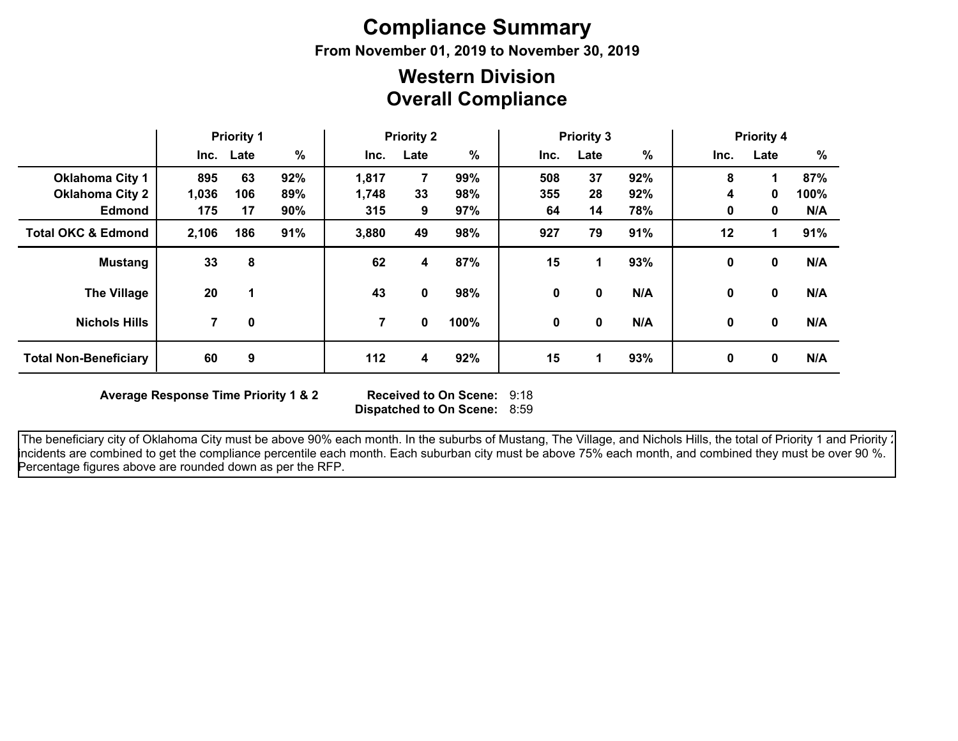# **Compliance Summary**

**From November 01, 2019 to November 30, 2019**

## **Overall Compliance Western Division**

|                               | <b>Priority 1</b> |           | <b>Priority 2</b> |       |      | <b>Priority 3</b> |      |      | <b>Priority 4</b> |             |              |      |
|-------------------------------|-------------------|-----------|-------------------|-------|------|-------------------|------|------|-------------------|-------------|--------------|------|
|                               |                   | Inc. Late | %                 | Inc.  | Late | %                 | Inc. | Late | $\%$              | Inc.        | Late         | %    |
| <b>Oklahoma City 1</b>        | 895               | 63        | 92%               | 1,817 | 7    | 99%               | 508  | 37   | 92%               | 8           | 1            | 87%  |
| <b>Oklahoma City 2</b>        | 1,036             | 106       | 89%               | 1,748 | 33   | 98%               | 355  | 28   | 92%               | 4           | 0            | 100% |
| <b>Edmond</b>                 | 175               | 17        | 90%               | 315   | 9    | 97%               | 64   | 14   | 78%               | 0           | 0            | N/A  |
| <b>Total OKC &amp; Edmond</b> | 2,106             | 186       | 91%               | 3,880 | 49   | 98%               | 927  | 79   | 91%               | 12          | 1            | 91%  |
| <b>Mustang</b>                | 33                | 8         |                   | 62    | 4    | 87%               | 15   | 1.   | 93%               | 0           | 0            | N/A  |
| <b>The Village</b>            | 20                | 1         |                   | 43    | 0    | 98%               | 0    | 0    | N/A               | 0           | 0            | N/A  |
| <b>Nichols Hills</b>          | 7                 | 0         |                   | 7     | 0    | 100%              | 0    | 0    | N/A               | $\mathbf 0$ | $\mathbf{0}$ | N/A  |
| <b>Total Non-Beneficiary</b>  | 60                | 9         |                   | 112   | 4    | 92%               | 15   | 1    | 93%               | 0           | 0            | N/A  |

**Average Response Time Priority 1 & 2** 

**Dispatched to On Scene:** 8:59 Received to On Scene: 9:18

The beneficiary city of Oklahoma City must be above 90% each month. In the suburbs of Mustang, The Village, and Nichols Hills, the total of Priority 1 and Priority 2 incidents are combined to get the compliance percentile each month. Each suburban city must be above 75% each month, and combined they must be over 90 %. Percentage figures above are rounded down as per the RFP.